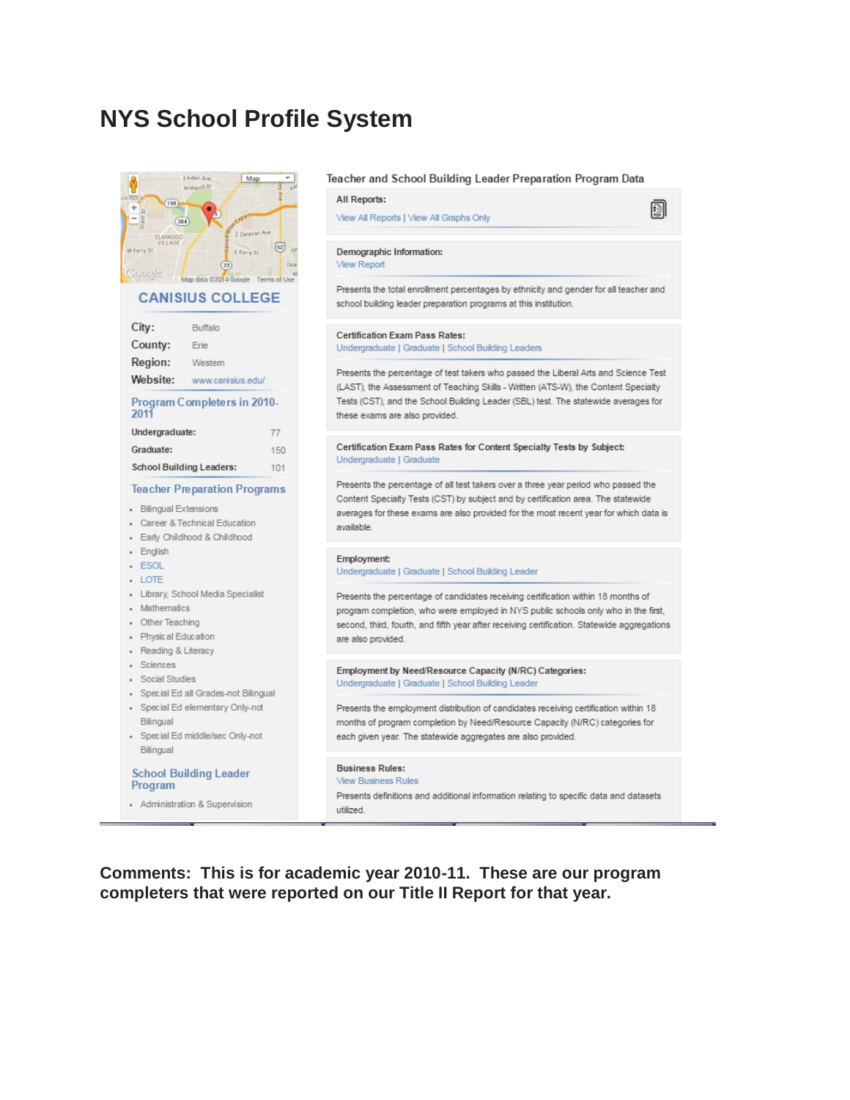# **NYS School Profile System**



**Comments: This is for academic year 2010-11. These are our program completers that were reported on our Title II Report for that year.**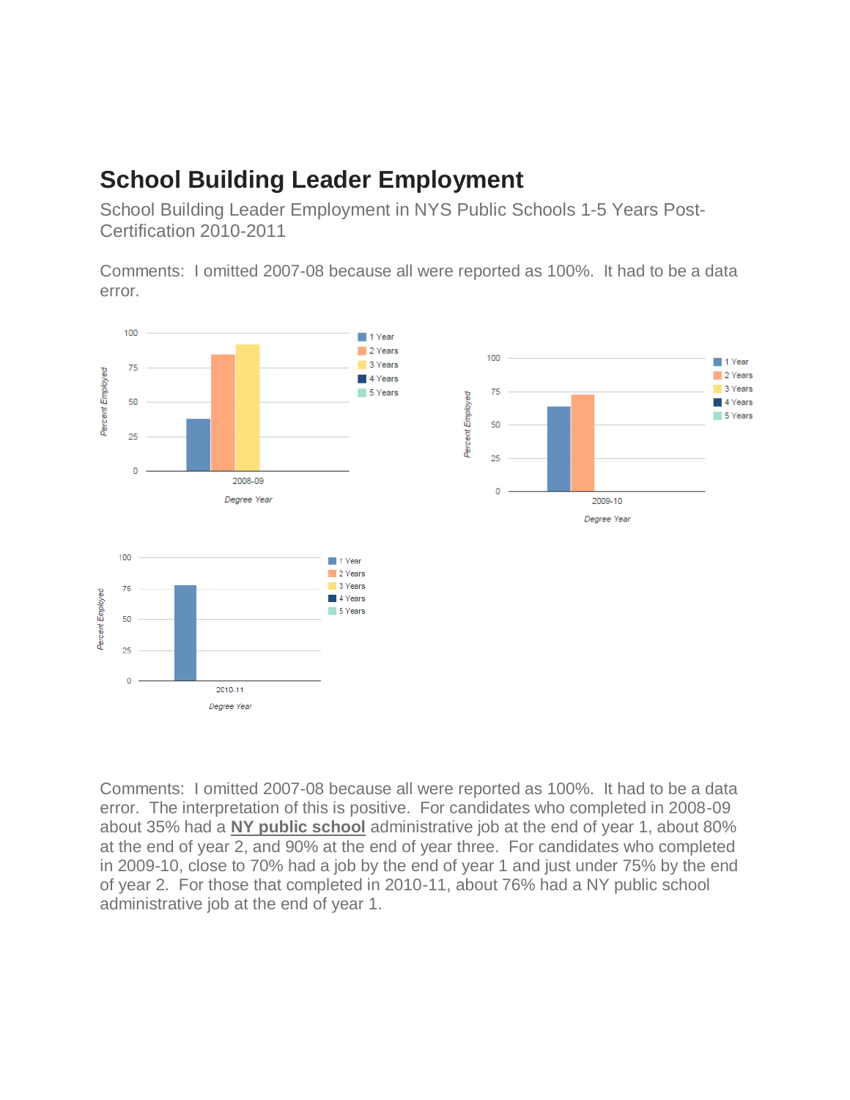# **School Building Leader Employment**

School Building Leader Employment in NYS Public Schools 1-5 Years Post-Certification 2010-2011

Comments: I omitted 2007-08 because all were reported as 100%. It had to be a data error.



Comments: I omitted 2007-08 because all were reported as 100%. It had to be a data error. The interpretation of this is positive. For candidates who completed in 2008-09 about 35% had a **NY public school** administrative job at the end of year 1, about 80% at the end of year 2, and 90% at the end of year three. For candidates who completed in 2009-10, close to 70% had a job by the end of year 1 and just under 75% by the end of year 2. For those that completed in 2010-11, about 76% had a NY public school administrative job at the end of year 1.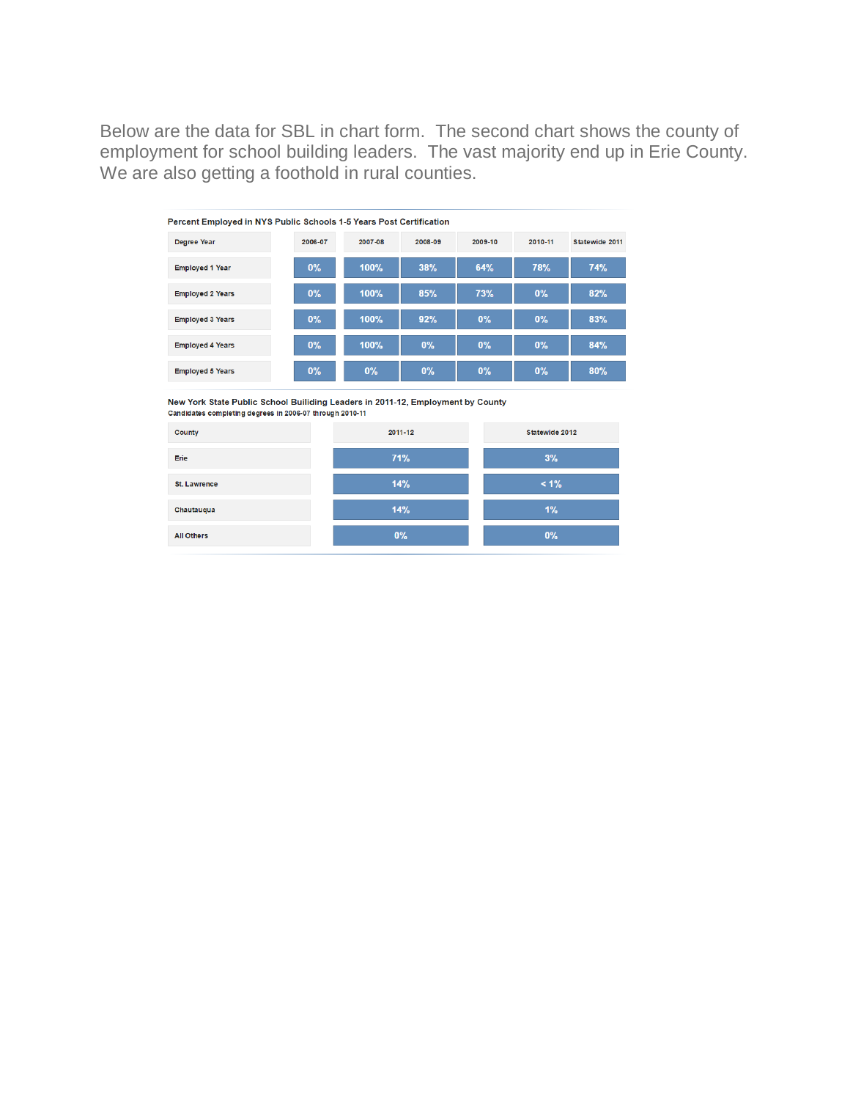Below are the data for SBL in chart form. The second chart shows the county of employment for school building leaders. The vast majority end up in Erie County. We are also getting a foothold in rural counties.

| <b>Percent Employed in NYS Public Schools 1-5 Years Post Certification</b> |         |         |         |         |            |                |  |
|----------------------------------------------------------------------------|---------|---------|---------|---------|------------|----------------|--|
| Degree Year                                                                | 2006-07 | 2007-08 | 2008-09 | 2009-10 | 2010-11    | Statewide 2011 |  |
| <b>Employed 1 Year</b>                                                     | 0%      | 100%    | 38%     | 64%     | <b>78%</b> | <b>74%</b>     |  |
| <b>Employed 2 Years</b>                                                    | 0%      | 100%    | 85%     | 73%     | $0\%$      | 82%            |  |
| <b>Employed 3 Years</b>                                                    | $0\%$   | 100%    | 92%     | 0%      | $0\%$      | 83%            |  |
| <b>Employed 4 Years</b>                                                    | 0%      | 100%    | 0%      | 0%      | $0\%$      | 84%            |  |
| <b>Employed 5 Years</b>                                                    | $0\%$   | 0%      | $0\%$   | 0%      | $0\%$      | 80%            |  |

New York State Public School Builiding Leaders in 2011-12, Employment by County Candidates completing degrees in 2006-07 through 2010-11

| County              | 2011-12 | Statewide 2012 |  |  |
|---------------------|---------|----------------|--|--|
| Erie                | 71%     | 3%             |  |  |
| <b>St. Lawrence</b> | 14%     | $< 1\%$        |  |  |
| Chautauqua          | 14%     | $1\%$          |  |  |
| <b>All Others</b>   | $0\%$   | $0\%$          |  |  |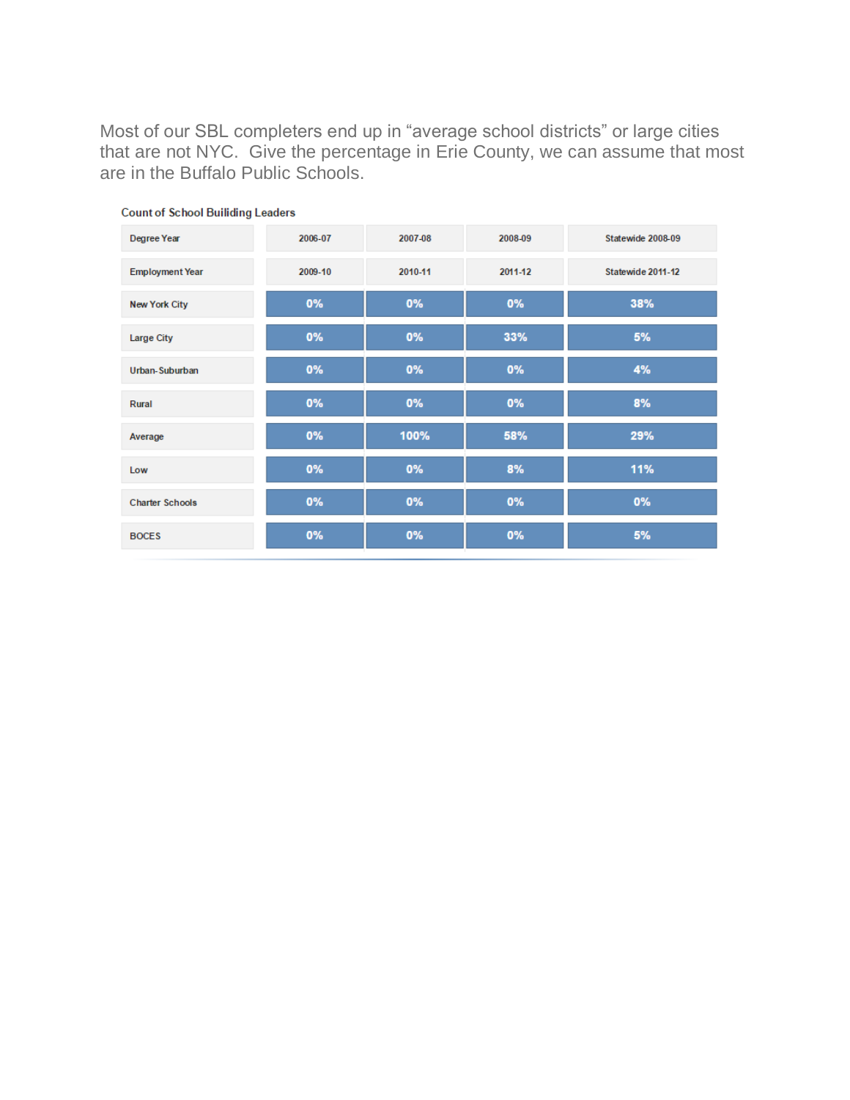Most of our SBL completers end up in "average school districts" or large cities that are not NYC. Give the percentage in Erie County, we can assume that most are in the Buffalo Public Schools.

| Degree Year            | 2006-07 | 2007-08 | 2008-09 | Statewide 2008-09 |
|------------------------|---------|---------|---------|-------------------|
| <b>Employment Year</b> | 2009-10 | 2010-11 | 2011-12 | Statewide 2011-12 |
| <b>New York City</b>   | 0%      | 0%      | 0%      | 38%               |
| <b>Large City</b>      | 0%      | 0%      | 33%     | 5%                |
| Urban-Suburban         | 0%      | 0%      | 0%      | 4%                |
| Rural                  | 0%      | 0%      | 0%      | 8%                |
| Average                | 0%      | 100%    | 58%     | 29%               |
| Low                    | 0%      | 0%      | 8%      | 11%               |
| <b>Charter Schools</b> | 0%      | 0%      | 0%      | 0%                |
| <b>BOCES</b>           | 0%      | 0%      | 0%      | 5%                |

### **Count of School Builiding Leaders**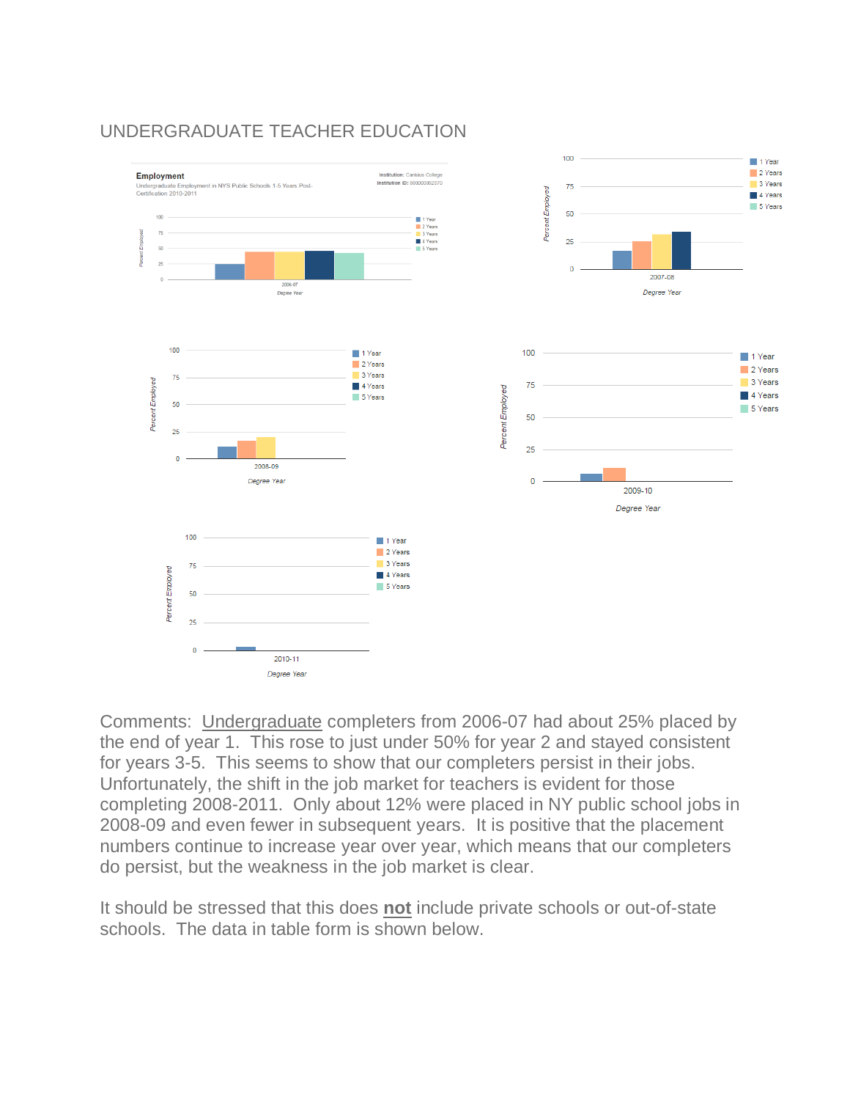

### UNDERGRADUATE TEACHER EDUCATION

Comments: Undergraduate completers from 2006-07 had about 25% placed by the end of year 1. This rose to just under 50% for year 2 and stayed consistent for years 3-5. This seems to show that our completers persist in their jobs. Unfortunately, the shift in the job market for teachers is evident for those completing 2008-2011. Only about 12% were placed in NY public school jobs in 2008-09 and even fewer in subsequent years. It is positive that the placement numbers continue to increase year over year, which means that our completers do persist, but the weakness in the job market is clear.

It should be stressed that this does **not** include private schools or out-of-state schools. The data in table form is shown below.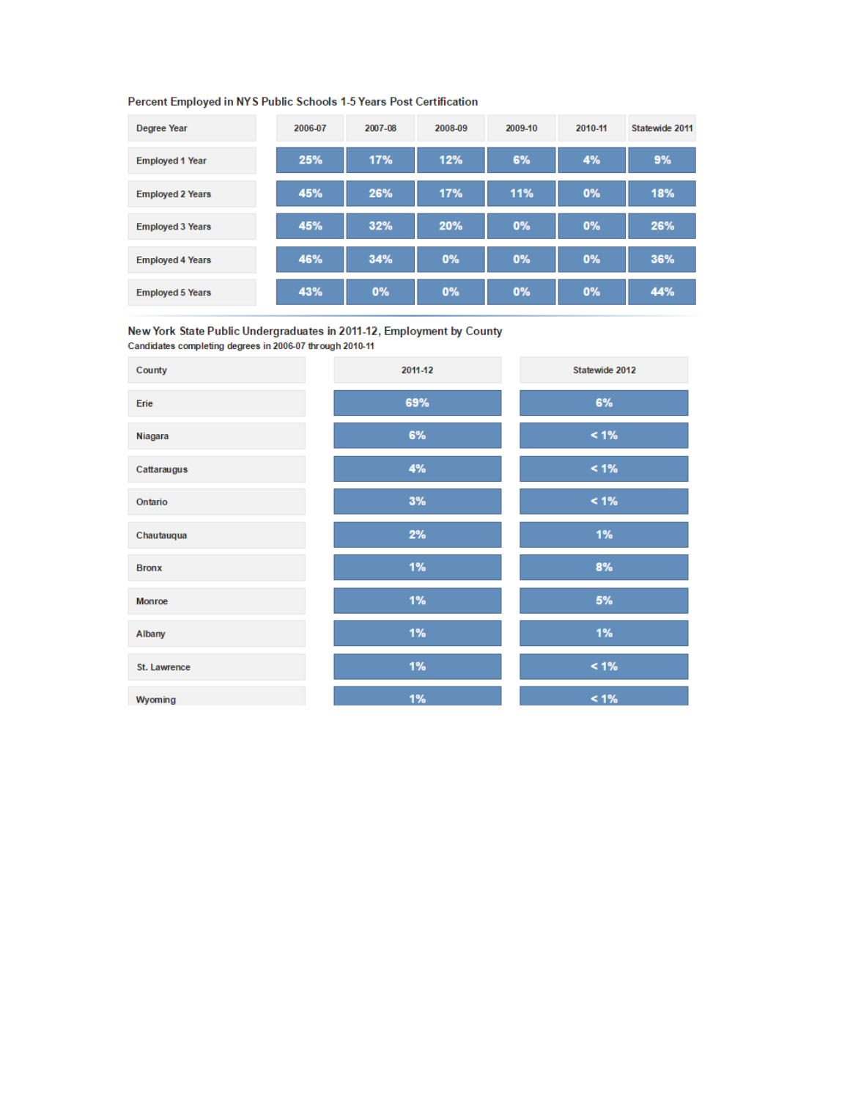#### Percent Employed in NYS Public Schools 1-5 Years Post Certification

| <b>Degree Year</b>      | 2006-07 | 2007-08 | 2008-09 | 2009-10 | 2010-11 | Statewide 2011 |
|-------------------------|---------|---------|---------|---------|---------|----------------|
| <b>Employed 1 Year</b>  | 25%     | 17%     | 12%     | 6%      | 4%      | 9%             |
| <b>Employed 2 Years</b> | 45%     | 26%     | 17%     | 11%     | 0%      | 18%            |
| <b>Employed 3 Years</b> | 45%     | 32%     | 20%     | 0%      | 0%      | 26%            |
| <b>Employed 4 Years</b> | 46%     | 34%     | 0%      | 0%      | 0%      | 36%            |
| <b>Employed 5 Years</b> | 43%     | 0%      | 0%      | 0%      | 0%      | 44%            |

New York State Public Undergraduates in 2011-12, Employment by County Candidates completing degrees in 2006-07 through 2010-11

| County       | 2011-12 | Statewide 2012 |
|--------------|---------|----------------|
| Erie         | 69%     | 6%             |
| Niagara      | 6%      | $< 1\%$        |
| Cattaraugus  | 4%      | $< 1\%$        |
| Ontario      | 3%      | $< 1\%$        |
| Chautauqua   | 2%      | 1%             |
| <b>Bronx</b> | 1%      | 8%             |
| Monroe       | 1%      | $5\%$          |
| Albany       | 1%      | 1%             |
| St. Lawrence | 1%      | $< 1\%$        |
| Wyoming      | 1%      | $< 1\%$        |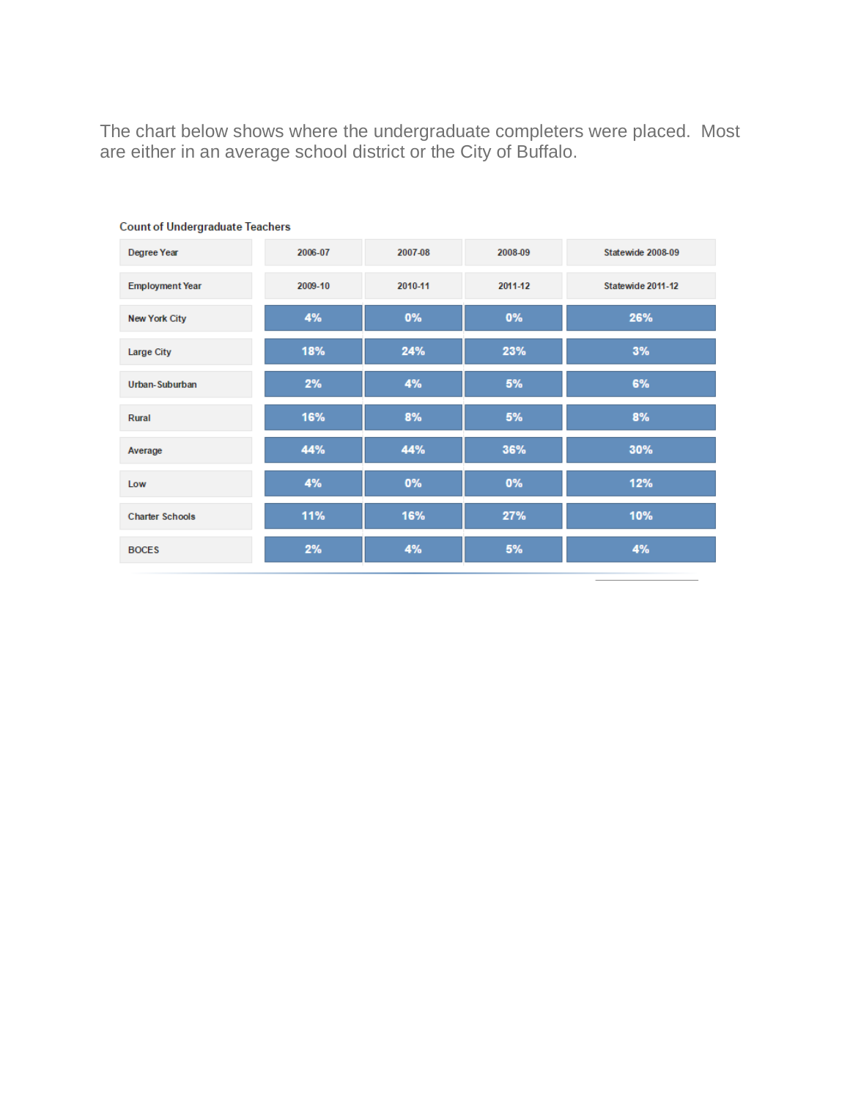The chart below shows where the undergraduate completers were placed. Most are either in an average school district or the City of Buffalo.

| Degree Year            | 2006-07 | 2007-08 | 2008-09 | Statewide 2008-09 |
|------------------------|---------|---------|---------|-------------------|
| <b>Employment Year</b> | 2009-10 | 2010-11 | 2011-12 | Statewide 2011-12 |
| <b>New York City</b>   | 4%      | 0%      | 0%      | 26%               |
| <b>Large City</b>      | 18%     | 24%     | 23%     | 3%                |
| Urban-Suburban         | 2%      | 4%      | 5%      | 6%                |
| Rural                  | 16%     | 8%      | 5%      | 8%                |
| Average                | 44%     | 44%     | 36%     | 30%               |
| Low                    | 4%      | 0%      | 0%      | 12%               |
| <b>Charter Schools</b> | 11%     | 16%     | 27%     | 10%               |
| <b>BOCES</b>           | 2%      | 4%      | 5%      | 4%                |

#### **Count of Undergraduate Teachers**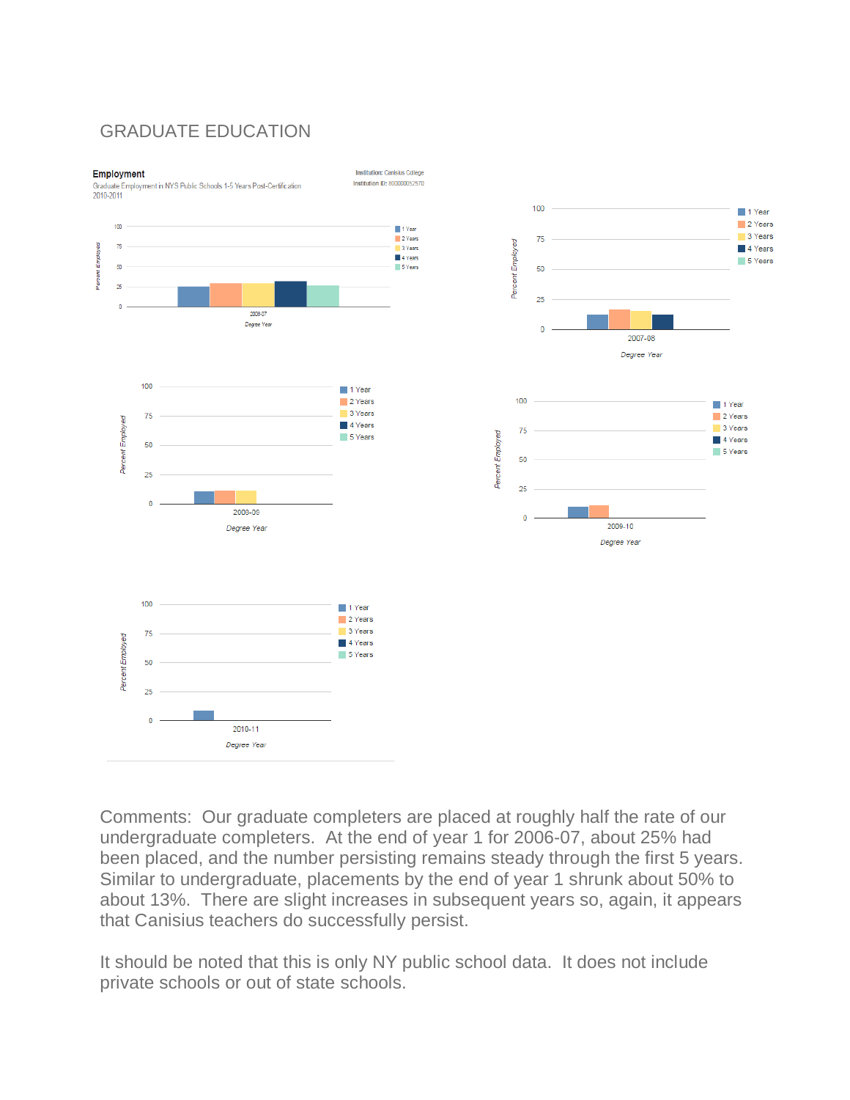### GRADUATE EDUCATION



Graduate Employment in NYS Public Schools 1-5 Years Post-Certification 2010-2011





Comments: Our graduate completers are placed at roughly half the rate of our undergraduate completers. At the end of year 1 for 2006-07, about 25% had been placed, and the number persisting remains steady through the first 5 years. Similar to undergraduate, placements by the end of year 1 shrunk about 50% to about 13%. There are slight increases in subsequent years so, again, it appears that Canisius teachers do successfully persist.

It should be noted that this is only NY public school data. It does not include private schools or out of state schools.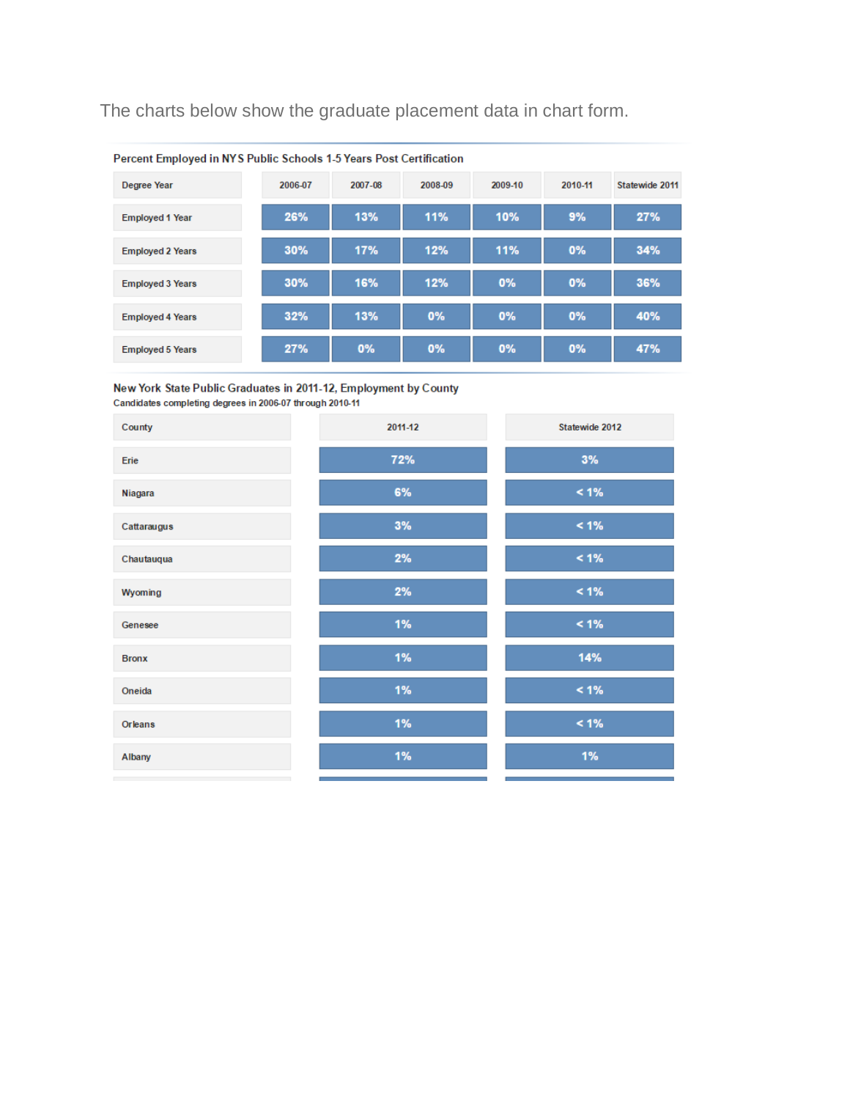The charts below show the graduate placement data in chart form.

| Percent Employed in NYS Public Schools 1-5 Years Post Certification |         |         |         |         |         |                |
|---------------------------------------------------------------------|---------|---------|---------|---------|---------|----------------|
| <b>Degree Year</b>                                                  | 2006-07 | 2007-08 | 2008-09 | 2009-10 | 2010-11 | Statewide 2011 |
| <b>Employed 1 Year</b>                                              | 26%     | 13%     | 11%     | 10%     | 9%      | 27%            |
| <b>Employed 2 Years</b>                                             | 30%     | 17%     | 12%     | 11%     | 0%      | 34%            |
| <b>Employed 3 Years</b>                                             | 30%     | 16%     | 12%     | 0%      | 0%      | 36%            |
| <b>Employed 4 Years</b>                                             | 32%     | 13%     | 0%      | 0%      | 0%      | 40%            |
| <b>Employed 5 Years</b>                                             | 27%     | 0%      | 0%      | 0%      | 0%      | 47%            |

New York State Public Graduates in 2011-12, Employment by County Candidates completing degrees in 2006-07 through 2010-11

| County         | 2011-12 | Statewide 2012 |
|----------------|---------|----------------|
| Erie           | 72%     | 3%             |
| Niagara        | 6%      | $< 1\%$        |
| Cattaraugus    | 3%      | $< 1\%$        |
| Chautauqua     | 2%      | $< 1\%$        |
| Wyoming        | 2%      | $< 1\%$        |
| Genesee        | 1%      | $< 1\%$        |
| <b>Bronx</b>   | 1%      | 14%            |
| Oneida         | 1%      | $< 1\%$        |
| <b>Orleans</b> | 1%      | $< 1\%$        |
| Albany         | 1%      | 1%             |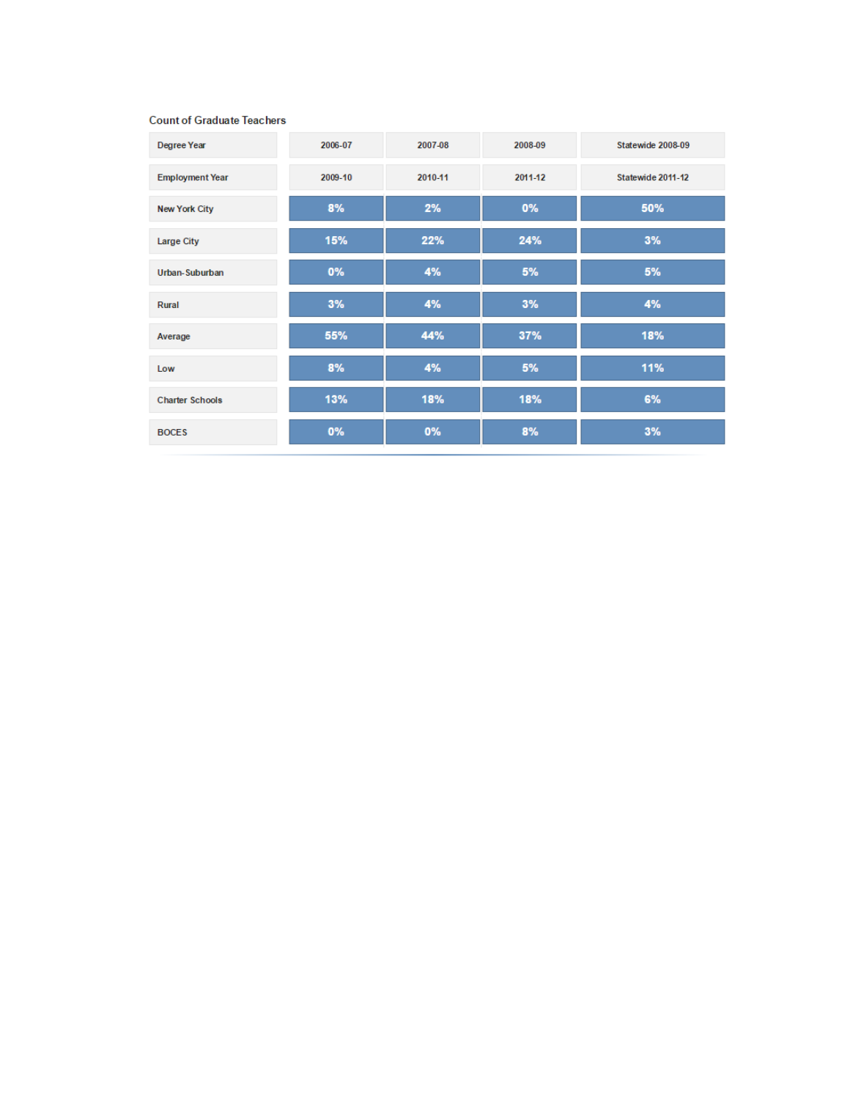#### **Count of Graduate Teachers**

| <b>Degree Year</b>     | 2006-07 | 2007-08 | 2008-09 | Statewide 2008-09 |
|------------------------|---------|---------|---------|-------------------|
| <b>Employment Year</b> | 2009-10 | 2010-11 | 2011-12 | Statewide 2011-12 |
| <b>New York City</b>   | 8%      | 2%      | 0%      | 50%               |
| <b>Large City</b>      | 15%     | 22%     | 24%     | 3%                |
| Urban-Suburban         | 0%      | 4%      | 5%      | 5%                |
| Rural                  | 3%      | 4%      | 3%      | 4%                |
| Average                | 55%     | 44%     | 37%     | 18%               |
| Low                    | 8%      | 4%      | 5%      | 11%               |
| <b>Charter Schools</b> | 13%     | 18%     | 18%     | 6%                |
| <b>BOCES</b>           | 0%      | 0%      | 8%      | 3%                |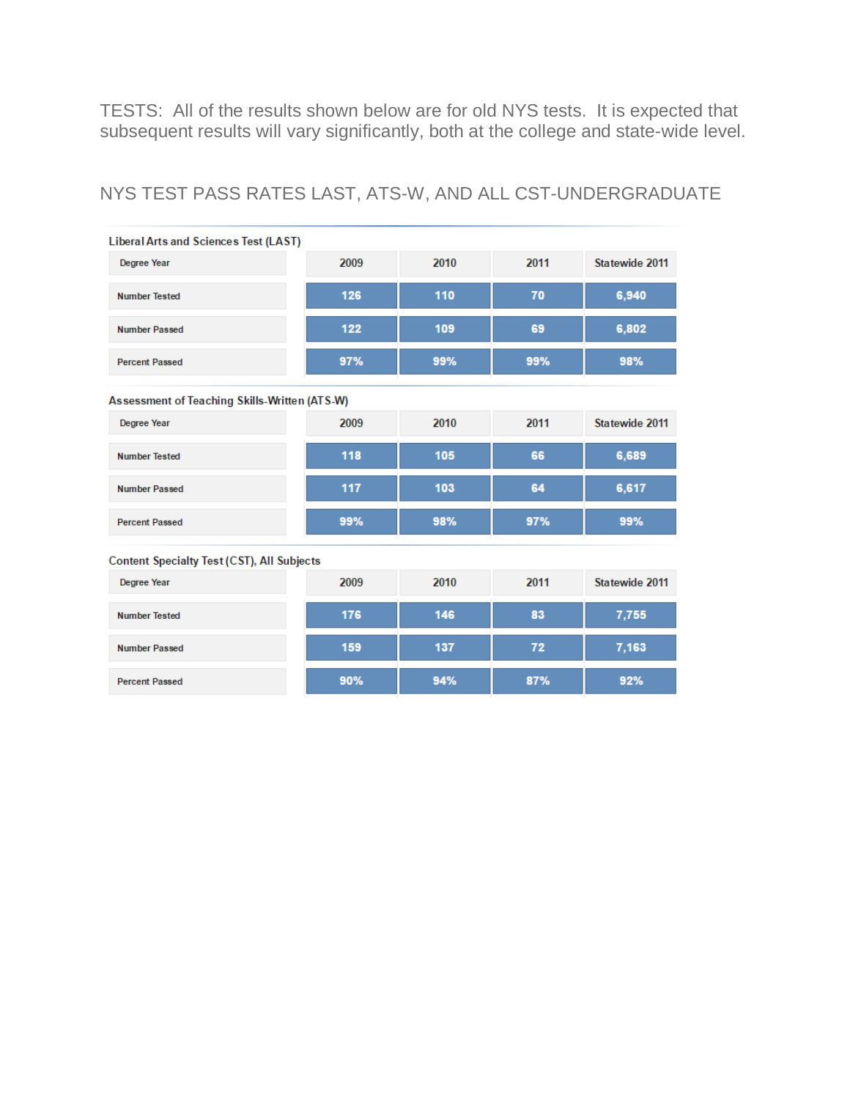TESTS: All of the results shown below are for old NYS tests. It is expected that subsequent results will vary significantly, both at the college and state-wide level.

### NYS TEST PASS RATES LAST, ATS-W, AND ALL CST-UNDERGRADUATE

| <b>Liberal Arts and Sciences Test (LAST)</b>      |      |      |      |                |  |  |
|---------------------------------------------------|------|------|------|----------------|--|--|
| Degree Year                                       | 2009 | 2010 | 2011 | Statewide 2011 |  |  |
| <b>Number Tested</b>                              | 126  | 110  | 70   | 6,940          |  |  |
| <b>Number Passed</b>                              | 122  | 109  | 69   | 6,802          |  |  |
| <b>Percent Passed</b>                             | 97%  | 99%  | 99%  | 98%            |  |  |
| Assessment of Teaching Skills-Written (ATS-W)     |      |      |      |                |  |  |
| <b>Degree Year</b>                                | 2009 | 2010 | 2011 | Statewide 2011 |  |  |
| <b>Number Tested</b>                              | 118  | 105  | 66   | 6,689          |  |  |
| <b>Number Passed</b>                              | 117  | 103  | 64   | 6,617          |  |  |
| <b>Percent Passed</b>                             | 99%  | 98%  | 97%  | 99%            |  |  |
| <b>Content Specialty Test (CST), All Subjects</b> |      |      |      |                |  |  |
| <b>Degree Year</b>                                | 2009 | 2010 | 2011 | Statewide 2011 |  |  |
| <b>Number Tested</b>                              | 176  | 146  | 83   | 7,755          |  |  |
| <b>Number Passed</b>                              | 159  | 137  | 72   | 7,163          |  |  |
| <b>Percent Passed</b>                             | 90%  | 94%  | 87%  | 92%            |  |  |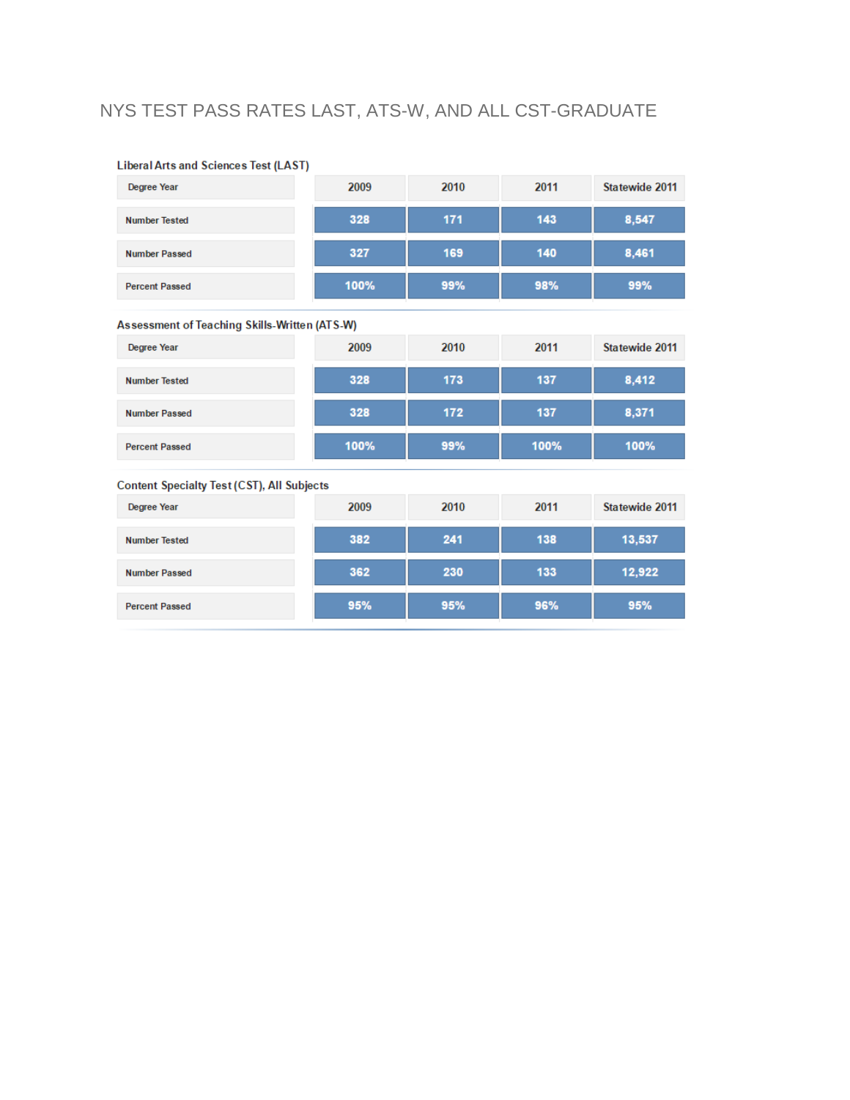## NYS TEST PASS RATES LAST, ATS-W, AND ALL CST-GRADUATE

| Degree Year                                       | 2009 | 2010 | 2011 | Statewide 2011 |  |  |  |
|---------------------------------------------------|------|------|------|----------------|--|--|--|
| <b>Number Tested</b>                              | 328  | 171  | 143  | 8,547          |  |  |  |
| <b>Number Passed</b>                              | 327  | 169  | 140  | 8,461          |  |  |  |
| <b>Percent Passed</b>                             | 100% | 99%  | 98%  | 99%            |  |  |  |
| Assessment of Teaching Skills-Written (ATS-W)     |      |      |      |                |  |  |  |
| <b>Degree Year</b>                                | 2009 | 2010 | 2011 | Statewide 2011 |  |  |  |
| <b>Number Tested</b>                              | 328  | 173  | 137  | 8,412          |  |  |  |
| <b>Number Passed</b>                              | 328  | 172  | 137  | 8,371          |  |  |  |
| <b>Percent Passed</b>                             | 100% | 99%  | 100% | 100%           |  |  |  |
| <b>Content Specialty Test (CST), All Subjects</b> |      |      |      |                |  |  |  |
| Degree Year                                       | 2009 | 2010 | 2011 | Statewide 2011 |  |  |  |
| <b>Number Tested</b>                              | 382  | 241  | 138  | 13,537         |  |  |  |
| <b>Number Passed</b>                              | 362  | 230  | 133  | 12,922         |  |  |  |
| <b>Percent Passed</b>                             | 95%  | 95%  | 96%  | 95%            |  |  |  |

#### **Liberal Arts and Sciences Test (LAST)**